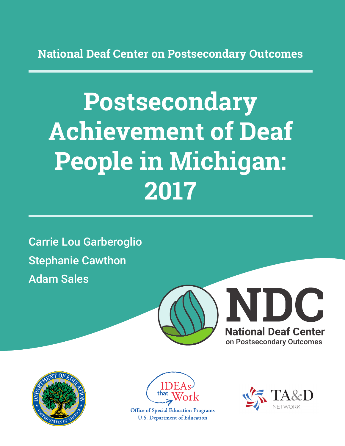**National Deaf Center on Postsecondary Outcomes**

# **Postsecondary Achievement of Deaf People in Michigan: 2017**

Carrie Lou Garberoglio Stephanie Cawthon Adam Sales







**Office of Special Education Programs U.S. Department of Education** 

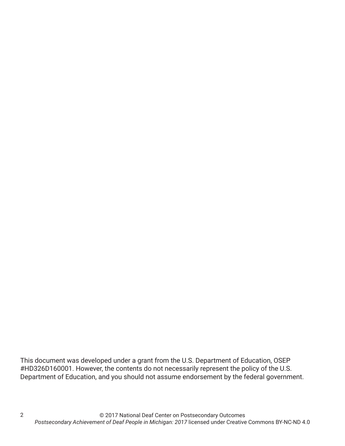This document was developed under a grant from the U.S. Department of Education, OSEP #HD326D160001. However, the contents do not necessarily represent the policy of the U.S. Department of Education, and you should not assume endorsement by the federal government.

2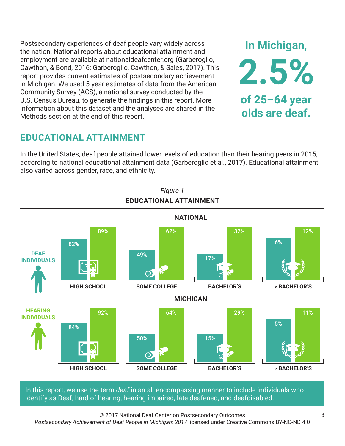Postsecondary experiences of deaf people vary widely across the nation. National reports about educational attainment and employment are available at nationaldeafcenter.org (Garberoglio, Cawthon, & Bond, 2016; Garberoglio, Cawthon, & Sales, 2017). This report provides current estimates of postsecondary achievement in Michigan. We used 5-year estimates of data from the American Community Survey (ACS), a national survey conducted by the U.S. Census Bureau, to generate the findings in this report. More information about this dataset and the analyses are shared in the Methods section at the end of this report.

# **EDUCATIONAL ATTAINMENT**

In the United States, deaf people attained lower levels of education than their hearing peers in 2015, according to national educational attainment data (Garberoglio et al., 2017). Educational attainment also varied across gender, race, and ethnicity.



In this report, we use the term *deaf* in an all-encompassing manner to include individuals who identify as Deaf, hard of hearing, hearing impaired, late deafened, and deafdisabled.

© 2017 National Deaf Center on Postsecondary Outcomes

*Postsecondary Achievement of Deaf People in Michigan: 2017* licensed under Creative Commons BY-NC-ND 4.0

**In Michigan,**

**2.5%**

**of 25–64 year**

**olds are deaf.**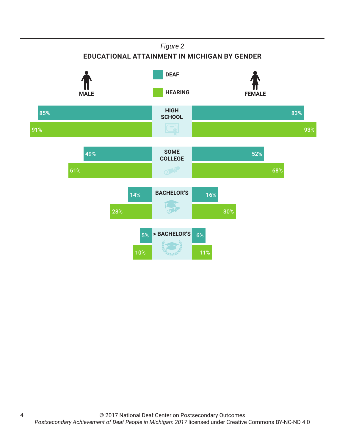## *Figure 2*

## **EDUCATIONAL ATTAINMENT IN MICHIGAN BY GENDER**



4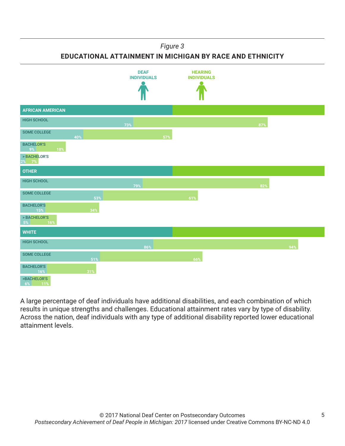### *Figure 3*

**EDUCATIONAL ATTAINMENT IN MICHIGAN BY RACE AND ETHNICITY**



A large percentage of deaf individuals have additional disabilities, and each combination of which results in unique strengths and challenges. Educational attainment rates vary by type of disability. Across the nation, deaf individuals with any type of additional disability reported lower educational attainment levels.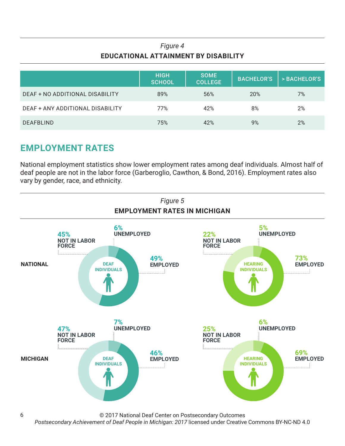## *Figure 4* **EDUCATIONAL ATTAINMENT BY DISABILITY**

|                                  | <b>HIGH</b><br><b>SCHOOL</b> | <b>SOME</b><br><b>COLLEGE</b> | <b>BACHELOR'S</b> | > BACHELOR'S |
|----------------------------------|------------------------------|-------------------------------|-------------------|--------------|
| DEAF + NO ADDITIONAL DISABILITY  | 89%                          | 56%                           | 20%               | 7%           |
| DEAF + ANY ADDITIONAL DISABILITY | 77%                          | 42%                           | 8%                | 2%           |
| <b>DEAFBLIND</b>                 | 75%                          | 42%                           | 9%                | 2%           |

# **EMPLOYMENT RATES**

6

National employment statistics show lower employment rates among deaf individuals. Almost half of deaf people are not in the labor force (Garberoglio, Cawthon, & Bond, 2016). Employment rates also vary by gender, race, and ethnicity.



© 2017 National Deaf Center on Postsecondary Outcomes

*Postsecondary Achievement of Deaf People in Michigan: 2017* licensed under Creative Commons BY-NC-ND 4.0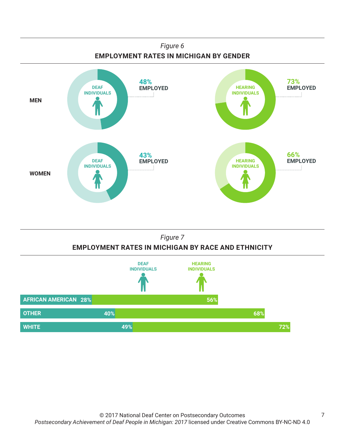



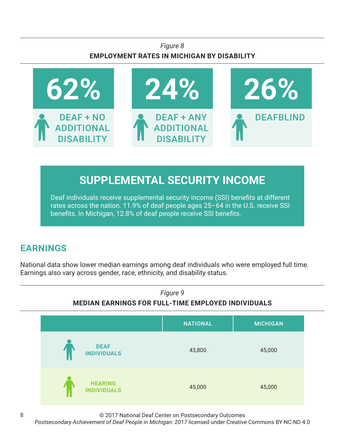## *Figure 8* **EMPLOYMENT RATES IN MICHIGAN BY DISABILITY**



# **SUPPLEMENTAL SECURITY INCOME**

Deaf individuals receive supplemental security income (SSI) benefits at different rates across the nation. 11.9% of deaf people ages 25–64 in the U.S. receive SSI benefits. In Michigan, 12.8% of deaf people receive SSI benefits.

# **EARNINGS**

National data show lower median earnings among deaf individuals who were employed full time. Earnings also vary across gender, race, ethnicity, and disability status.



© 2017 National Deaf Center on Postsecondary Outcomes

*Postsecondary Achievement of Deaf People in Michigan: 2017* licensed under Creative Commons BY-NC-ND 4.0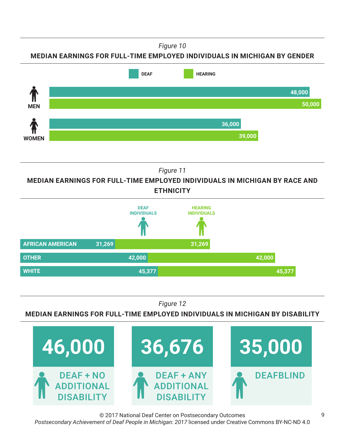*Figure 10*





*Figure 11*

**MEDIAN EARNINGS FOR FULL-TIME EMPLOYED INDIVIDUALS IN MICHIGAN BY RACE AND ETHNICITY**



*Figure 12*

**MEDIAN EARNINGS FOR FULL-TIME EMPLOYED INDIVIDUALS IN MICHIGAN BY DISABILITY**



© 2017 National Deaf Center on Postsecondary Outcomes *Postsecondary Achievement of Deaf People in Michigan: 2017* licensed under Creative Commons BY-NC-ND 4.0